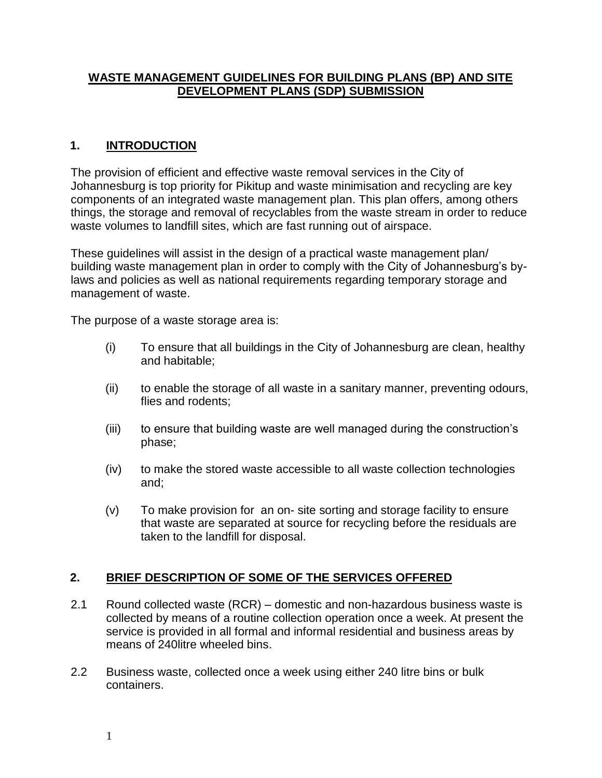## **WASTE MANAGEMENT GUIDELINES FOR BUILDING PLANS (BP) AND SITE DEVELOPMENT PLANS (SDP) SUBMISSION**

# **1. INTRODUCTION**

The provision of efficient and effective waste removal services in the City of Johannesburg is top priority for Pikitup and waste minimisation and recycling are key components of an integrated waste management plan. This plan offers, among others things, the storage and removal of recyclables from the waste stream in order to reduce waste volumes to landfill sites, which are fast running out of airspace.

These guidelines will assist in the design of a practical waste management plan/ building waste management plan in order to comply with the City of Johannesburg's bylaws and policies as well as national requirements regarding temporary storage and management of waste.

The purpose of a waste storage area is:

- (i) To ensure that all buildings in the City of Johannesburg are clean, healthy and habitable;
- (ii) to enable the storage of all waste in a sanitary manner, preventing odours, flies and rodents;
- (iii) to ensure that building waste are well managed during the construction's phase;
- (iv) to make the stored waste accessible to all waste collection technologies and;
- (v) To make provision for an on- site sorting and storage facility to ensure that waste are separated at source for recycling before the residuals are taken to the landfill for disposal.

# **2. BRIEF DESCRIPTION OF SOME OF THE SERVICES OFFERED**

- 2.1 Round collected waste (RCR) domestic and non-hazardous business waste is collected by means of a routine collection operation once a week. At present the service is provided in all formal and informal residential and business areas by means of 240litre wheeled bins.
- 2.2 Business waste, collected once a week using either 240 litre bins or bulk containers.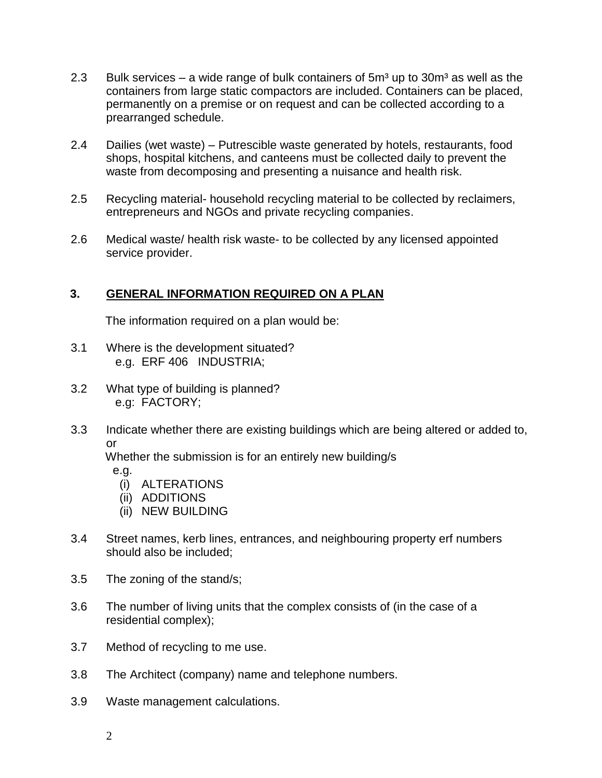- 2.3 Bulk services a wide range of bulk containers of  $5m<sup>3</sup>$  up to  $30m<sup>3</sup>$  as well as the containers from large static compactors are included. Containers can be placed, permanently on a premise or on request and can be collected according to a prearranged schedule.
- 2.4 Dailies (wet waste) Putrescible waste generated by hotels, restaurants, food shops, hospital kitchens, and canteens must be collected daily to prevent the waste from decomposing and presenting a nuisance and health risk.
- 2.5 Recycling material- household recycling material to be collected by reclaimers, entrepreneurs and NGOs and private recycling companies.
- 2.6 Medical waste/ health risk waste- to be collected by any licensed appointed service provider.

# **3. GENERAL INFORMATION REQUIRED ON A PLAN**

The information required on a plan would be:

- 3.1 Where is the development situated? e.g. ERF 406 INDUSTRIA;
- 3.2 What type of building is planned? e.g: FACTORY;
- 3.3 Indicate whether there are existing buildings which are being altered or added to, or

Whether the submission is for an entirely new building/s

e.g.

- (i) ALTERATIONS
- (ii) ADDITIONS
- (ii) NEW BUILDING
- 3.4 Street names, kerb lines, entrances, and neighbouring property erf numbers should also be included;
- 3.5 The zoning of the stand/s;
- 3.6 The number of living units that the complex consists of (in the case of a residential complex);
- 3.7 Method of recycling to me use.
- 3.8 The Architect (company) name and telephone numbers.
- 3.9 Waste management calculations.
	- 2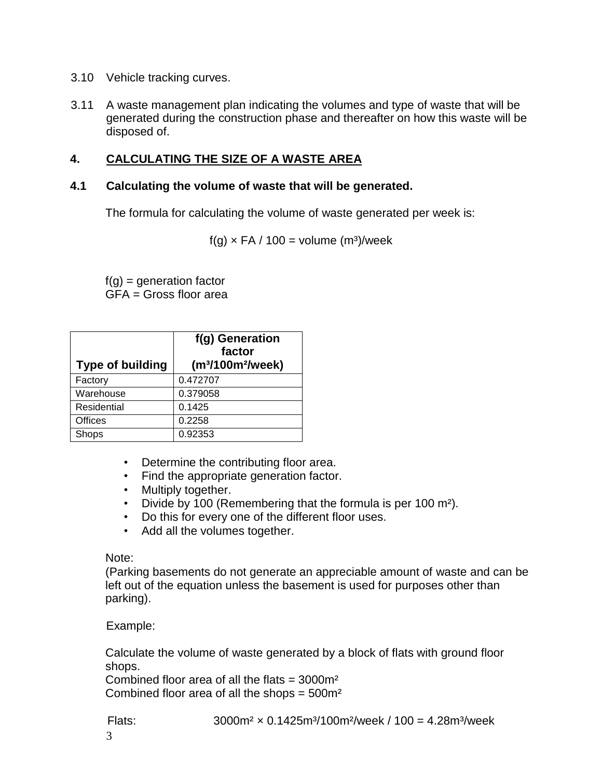- 3.10 Vehicle tracking curves.
- 3.11 A waste management plan indicating the volumes and type of waste that will be generated during the construction phase and thereafter on how this waste will be disposed of.

## **4. CALCULATING THE SIZE OF A WASTE AREA**

#### **4.1 Calculating the volume of waste that will be generated.**

The formula for calculating the volume of waste generated per week is:

 $f(q) \times FA / 100 = volume (m<sup>3</sup>)/week$ 

 $f(q)$  = generation factor  $GFA = Gross$  floor area

| <b>Type of building</b> | f(g) Generation<br>factor<br>(m <sup>3</sup> /100m <sup>2</sup> /week) |
|-------------------------|------------------------------------------------------------------------|
| Factory                 | 0.472707                                                               |
| Warehouse               | 0.379058                                                               |
| Residential             | 0.1425                                                                 |
| <b>Offices</b>          | 0.2258                                                                 |
| Shops                   | 0.92353                                                                |

- Determine the contributing floor area.
- Find the appropriate generation factor.
- Multiply together.
- Divide by 100 (Remembering that the formula is per 100 m<sup>2</sup>).
- Do this for every one of the different floor uses.
- Add all the volumes together.

#### Note:

(Parking basements do not generate an appreciable amount of waste and can be left out of the equation unless the basement is used for purposes other than parking).

#### Example:

Calculate the volume of waste generated by a block of flats with ground floor shops.

Combined floor area of all the flats  $=$  3000 $m<sup>2</sup>$ Combined floor area of all the shops  $= 500$  m<sup>2</sup>

Flats:  $3000m^2 \times 0.1425m^3/100m^2/$ week /  $100 = 4.28m^3$ /week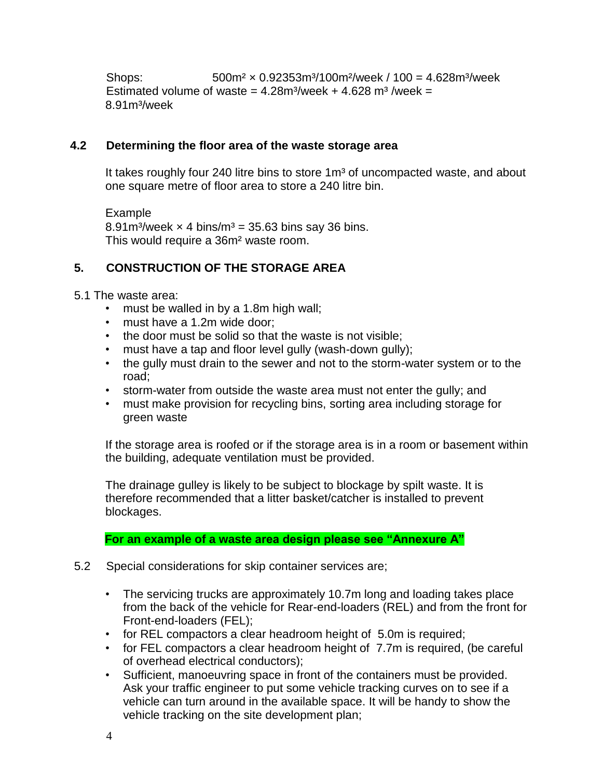Shops: 500m² × 0.92353m³/100m²/week / 100 = 4.628m³/week Estimated volume of waste =  $4.28$ m<sup>3</sup>/week +  $4.628$  m<sup>3</sup>/week = 8.91m³/week

#### **4.2 Determining the floor area of the waste storage area**

It takes roughly four 240 litre bins to store 1m<sup>3</sup> of uncompacted waste, and about one square metre of floor area to store a 240 litre bin.

Example 8.91m<sup>3</sup>/week  $\times$  4 bins/m<sup>3</sup> = 35.63 bins say 36 bins. This would require a 36m² waste room.

## **5. CONSTRUCTION OF THE STORAGE AREA**

- 5.1 The waste area:
	- must be walled in by a 1.8m high wall;
	- must have a 1.2m wide door;
	- the door must be solid so that the waste is not visible;
	- must have a tap and floor level gully (wash-down gully);
	- the gully must drain to the sewer and not to the storm-water system or to the road;
	- storm-water from outside the waste area must not enter the gully; and
	- must make provision for recycling bins, sorting area including storage for green waste

If the storage area is roofed or if the storage area is in a room or basement within the building, adequate ventilation must be provided.

The drainage gulley is likely to be subject to blockage by spilt waste. It is therefore recommended that a litter basket/catcher is installed to prevent blockages.

**For an example of a waste area design please see "Annexure A"** 

- 5.2 Special considerations for skip container services are;
	- The servicing trucks are approximately 10.7m long and loading takes place from the back of the vehicle for Rear-end-loaders (REL) and from the front for Front-end-loaders (FEL);
	- for REL compactors a clear headroom height of 5.0m is required;
	- for FEL compactors a clear headroom height of 7.7m is required, (be careful of overhead electrical conductors);
	- Sufficient, manoeuvring space in front of the containers must be provided. Ask your traffic engineer to put some vehicle tracking curves on to see if a vehicle can turn around in the available space. It will be handy to show the vehicle tracking on the site development plan;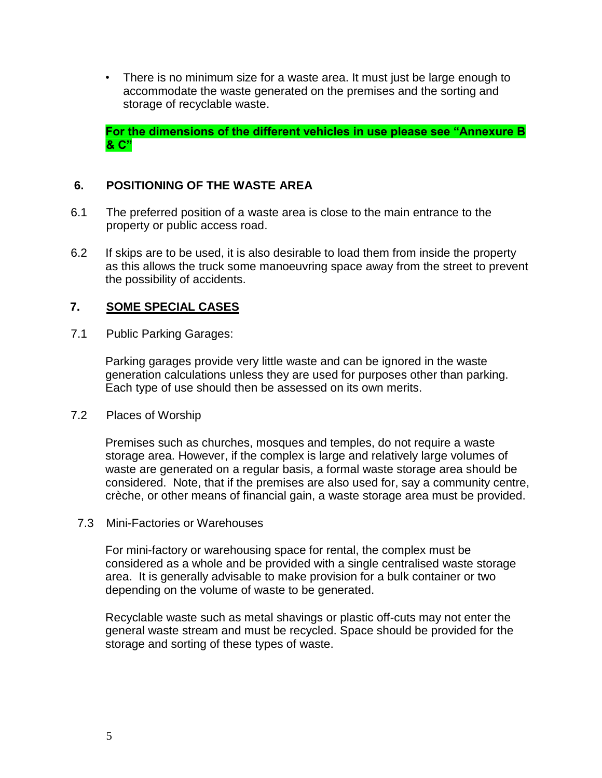• There is no minimum size for a waste area. It must just be large enough to accommodate the waste generated on the premises and the sorting and storage of recyclable waste.

**For the dimensions of the different vehicles in use please see "Annexure B & C"** 

## **6. POSITIONING OF THE WASTE AREA**

- 6.1 The preferred position of a waste area is close to the main entrance to the property or public access road.
- 6.2 If skips are to be used, it is also desirable to load them from inside the property as this allows the truck some manoeuvring space away from the street to prevent the possibility of accidents.

#### **7. SOME SPECIAL CASES**

7.1 Public Parking Garages:

Parking garages provide very little waste and can be ignored in the waste generation calculations unless they are used for purposes other than parking. Each type of use should then be assessed on its own merits.

7.2 Places of Worship

Premises such as churches, mosques and temples, do not require a waste storage area. However, if the complex is large and relatively large volumes of waste are generated on a regular basis, a formal waste storage area should be considered. Note, that if the premises are also used for, say a community centre, crèche, or other means of financial gain, a waste storage area must be provided.

7.3 Mini-Factories or Warehouses

For mini-factory or warehousing space for rental, the complex must be considered as a whole and be provided with a single centralised waste storage area. It is generally advisable to make provision for a bulk container or two depending on the volume of waste to be generated.

Recyclable waste such as metal shavings or plastic off-cuts may not enter the general waste stream and must be recycled. Space should be provided for the storage and sorting of these types of waste.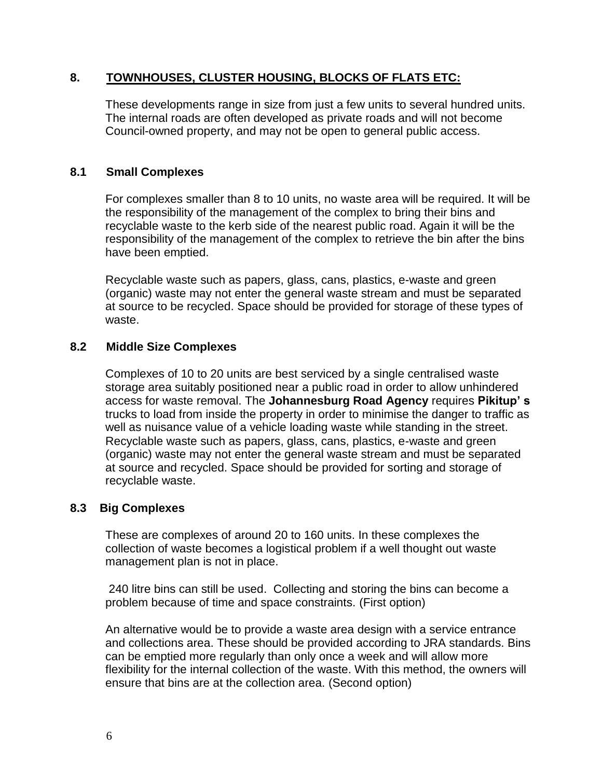## **8. TOWNHOUSES, CLUSTER HOUSING, BLOCKS OF FLATS ETC:**

These developments range in size from just a few units to several hundred units. The internal roads are often developed as private roads and will not become Council-owned property, and may not be open to general public access.

## **8.1 Small Complexes**

For complexes smaller than 8 to 10 units, no waste area will be required. It will be the responsibility of the management of the complex to bring their bins and recyclable waste to the kerb side of the nearest public road. Again it will be the responsibility of the management of the complex to retrieve the bin after the bins have been emptied.

Recyclable waste such as papers, glass, cans, plastics, e-waste and green (organic) waste may not enter the general waste stream and must be separated at source to be recycled. Space should be provided for storage of these types of waste.

## **8.2 Middle Size Complexes**

Complexes of 10 to 20 units are best serviced by a single centralised waste storage area suitably positioned near a public road in order to allow unhindered access for waste removal. The **Johannesburg Road Agency** requires **Pikitup' s** trucks to load from inside the property in order to minimise the danger to traffic as well as nuisance value of a vehicle loading waste while standing in the street. Recyclable waste such as papers, glass, cans, plastics, e-waste and green (organic) waste may not enter the general waste stream and must be separated at source and recycled. Space should be provided for sorting and storage of recyclable waste.

# **8.3 Big Complexes**

These are complexes of around 20 to 160 units. In these complexes the collection of waste becomes a logistical problem if a well thought out waste management plan is not in place.

240 litre bins can still be used. Collecting and storing the bins can become a problem because of time and space constraints. (First option)

An alternative would be to provide a waste area design with a service entrance and collections area. These should be provided according to JRA standards. Bins can be emptied more regularly than only once a week and will allow more flexibility for the internal collection of the waste. With this method, the owners will ensure that bins are at the collection area. (Second option)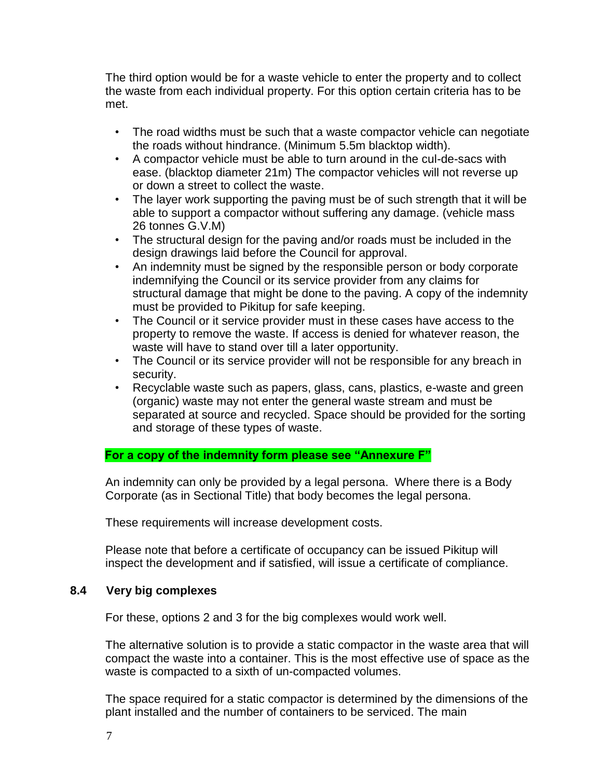The third option would be for a waste vehicle to enter the property and to collect the waste from each individual property. For this option certain criteria has to be met.

- The road widths must be such that a waste compactor vehicle can negotiate the roads without hindrance. (Minimum 5.5m blacktop width).
- A compactor vehicle must be able to turn around in the cul-de-sacs with ease. (blacktop diameter 21m) The compactor vehicles will not reverse up or down a street to collect the waste.
- The layer work supporting the paving must be of such strength that it will be able to support a compactor without suffering any damage. (vehicle mass 26 tonnes G.V.M)
- The structural design for the paving and/or roads must be included in the design drawings laid before the Council for approval.
- An indemnity must be signed by the responsible person or body corporate indemnifying the Council or its service provider from any claims for structural damage that might be done to the paving. A copy of the indemnity must be provided to Pikitup for safe keeping.
- The Council or it service provider must in these cases have access to the property to remove the waste. If access is denied for whatever reason, the waste will have to stand over till a later opportunity.
- The Council or its service provider will not be responsible for any breach in security.
- Recyclable waste such as papers, glass, cans, plastics, e-waste and green (organic) waste may not enter the general waste stream and must be separated at source and recycled. Space should be provided for the sorting and storage of these types of waste.

**For a copy of the indemnity form please see "Annexure F"**

An indemnity can only be provided by a legal persona. Where there is a Body Corporate (as in Sectional Title) that body becomes the legal persona.

These requirements will increase development costs.

Please note that before a certificate of occupancy can be issued Pikitup will inspect the development and if satisfied, will issue a certificate of compliance.

#### **8.4 Very big complexes**

For these, options 2 and 3 for the big complexes would work well.

The alternative solution is to provide a static compactor in the waste area that will compact the waste into a container. This is the most effective use of space as the waste is compacted to a sixth of un-compacted volumes.

The space required for a static compactor is determined by the dimensions of the plant installed and the number of containers to be serviced. The main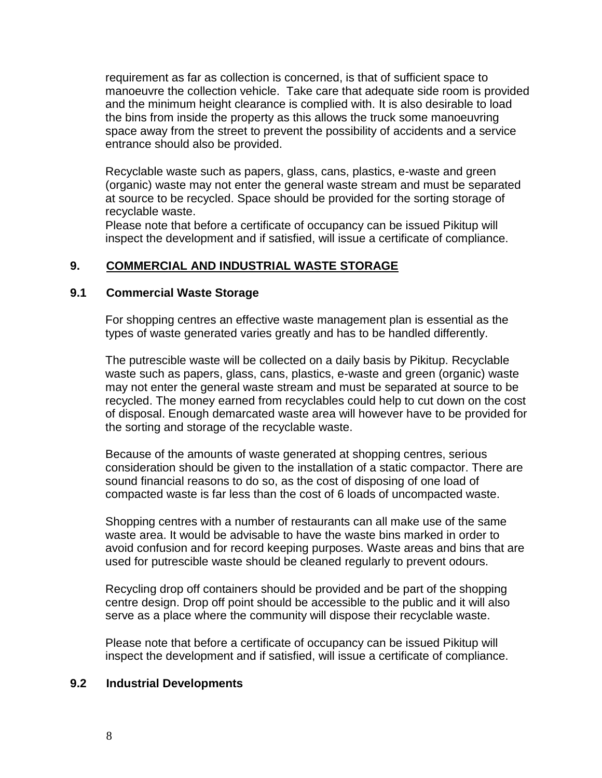requirement as far as collection is concerned, is that of sufficient space to manoeuvre the collection vehicle. Take care that adequate side room is provided and the minimum height clearance is complied with. It is also desirable to load the bins from inside the property as this allows the truck some manoeuvring space away from the street to prevent the possibility of accidents and a service entrance should also be provided.

Recyclable waste such as papers, glass, cans, plastics, e-waste and green (organic) waste may not enter the general waste stream and must be separated at source to be recycled. Space should be provided for the sorting storage of recyclable waste.

Please note that before a certificate of occupancy can be issued Pikitup will inspect the development and if satisfied, will issue a certificate of compliance.

## **9. COMMERCIAL AND INDUSTRIAL WASTE STORAGE**

#### **9.1 Commercial Waste Storage**

For shopping centres an effective waste management plan is essential as the types of waste generated varies greatly and has to be handled differently.

The putrescible waste will be collected on a daily basis by Pikitup. Recyclable waste such as papers, glass, cans, plastics, e-waste and green (organic) waste may not enter the general waste stream and must be separated at source to be recycled. The money earned from recyclables could help to cut down on the cost of disposal. Enough demarcated waste area will however have to be provided for the sorting and storage of the recyclable waste.

Because of the amounts of waste generated at shopping centres, serious consideration should be given to the installation of a static compactor. There are sound financial reasons to do so, as the cost of disposing of one load of compacted waste is far less than the cost of 6 loads of uncompacted waste.

Shopping centres with a number of restaurants can all make use of the same waste area. It would be advisable to have the waste bins marked in order to avoid confusion and for record keeping purposes. Waste areas and bins that are used for putrescible waste should be cleaned regularly to prevent odours.

Recycling drop off containers should be provided and be part of the shopping centre design. Drop off point should be accessible to the public and it will also serve as a place where the community will dispose their recyclable waste.

Please note that before a certificate of occupancy can be issued Pikitup will inspect the development and if satisfied, will issue a certificate of compliance.

#### **9.2 Industrial Developments**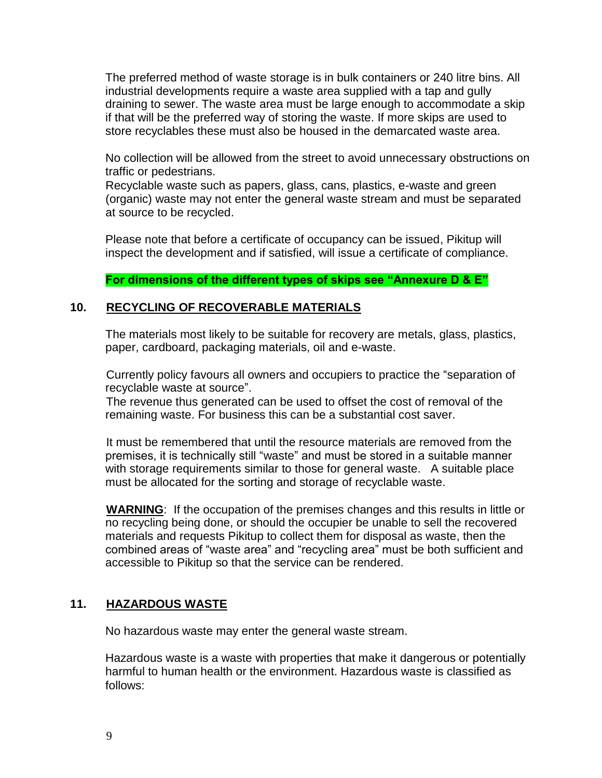The preferred method of waste storage is in bulk containers or 240 litre bins. All industrial developments require a waste area supplied with a tap and gully draining to sewer. The waste area must be large enough to accommodate a skip if that will be the preferred way of storing the waste. If more skips are used to store recyclables these must also be housed in the demarcated waste area.

No collection will be allowed from the street to avoid unnecessary obstructions on traffic or pedestrians.

Recyclable waste such as papers, glass, cans, plastics, e-waste and green (organic) waste may not enter the general waste stream and must be separated at source to be recycled.

Please note that before a certificate of occupancy can be issued, Pikitup will inspect the development and if satisfied, will issue a certificate of compliance.

**For dimensions of the different types of skips see "Annexure D & E"** 

## **10. RECYCLING OF RECOVERABLE MATERIALS**

The materials most likely to be suitable for recovery are metals, glass, plastics, paper, cardboard, packaging materials, oil and e-waste.

Currently policy favours all owners and occupiers to practice the "separation of recyclable waste at source".

The revenue thus generated can be used to offset the cost of removal of the remaining waste. For business this can be a substantial cost saver.

It must be remembered that until the resource materials are removed from the premises, it is technically still "waste" and must be stored in a suitable manner with storage requirements similar to those for general waste. A suitable place must be allocated for the sorting and storage of recyclable waste.

**WARNING**: If the occupation of the premises changes and this results in little or no recycling being done, or should the occupier be unable to sell the recovered materials and requests Pikitup to collect them for disposal as waste, then the combined areas of "waste area" and "recycling area" must be both sufficient and accessible to Pikitup so that the service can be rendered.

# **11. HAZARDOUS WASTE**

No hazardous waste may enter the general waste stream.

Hazardous waste is a waste with properties that make it dangerous or potentially harmful to human health or the environment. Hazardous waste is classified as follows: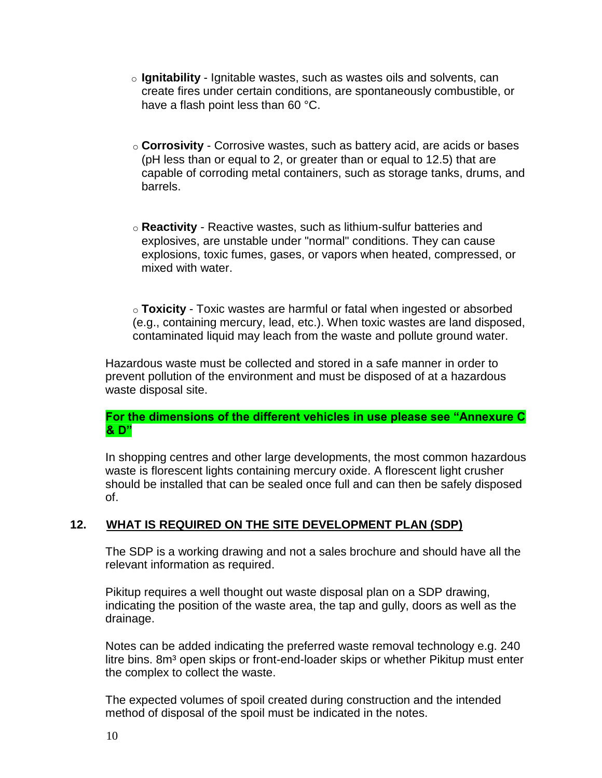- o **Ignitability** Ignitable wastes, such as wastes oils and solvents, can create fires under certain conditions, are spontaneously combustible, or have a flash point less than 60 °C.
- o **Corrosivity** Corrosive wastes, such as battery acid, are acids or bases (pH less than or equal to 2, or greater than or equal to 12.5) that are capable of corroding metal containers, such as storage tanks, drums, and barrels.
- o **Reactivity** Reactive wastes, such as lithium-sulfur batteries and explosives, are unstable under "normal" conditions. They can cause explosions, toxic fumes, gases, or vapors when heated, compressed, or mixed with water.

o **Toxicity** - Toxic wastes are harmful or fatal when ingested or absorbed (e.g., containing mercury, lead, etc.). When toxic wastes are land disposed, contaminated liquid may leach from the waste and pollute ground water.

Hazardous waste must be collected and stored in a safe manner in order to prevent pollution of the environment and must be disposed of at a hazardous waste disposal site.

#### **For the dimensions of the different vehicles in use please see "Annexure C & D"**

In shopping centres and other large developments, the most common hazardous waste is florescent lights containing mercury oxide. A florescent light crusher should be installed that can be sealed once full and can then be safely disposed of.

# **12. WHAT IS REQUIRED ON THE SITE DEVELOPMENT PLAN (SDP)**

The SDP is a working drawing and not a sales brochure and should have all the relevant information as required.

Pikitup requires a well thought out waste disposal plan on a SDP drawing, indicating the position of the waste area, the tap and gully, doors as well as the drainage.

Notes can be added indicating the preferred waste removal technology e.g. 240 litre bins. 8m<sup>3</sup> open skips or front-end-loader skips or whether Pikitup must enter the complex to collect the waste.

The expected volumes of spoil created during construction and the intended method of disposal of the spoil must be indicated in the notes.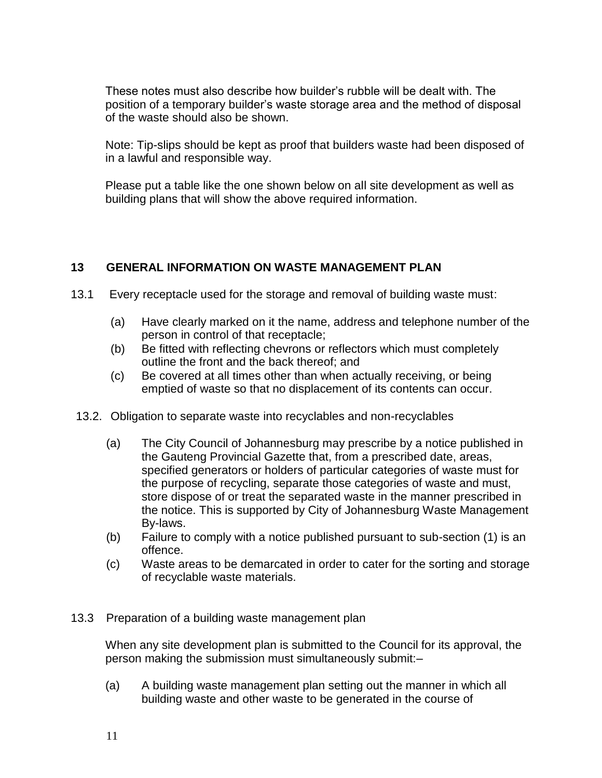These notes must also describe how builder's rubble will be dealt with. The position of a temporary builder's waste storage area and the method of disposal of the waste should also be shown.

Note: Tip-slips should be kept as proof that builders waste had been disposed of in a lawful and responsible way.

Please put a table like the one shown below on all site development as well as building plans that will show the above required information.

# **13 GENERAL INFORMATION ON WASTE MANAGEMENT PLAN**

- 13.1 Every receptacle used for the storage and removal of building waste must:
	- (a) Have clearly marked on it the name, address and telephone number of the person in control of that receptacle;
	- (b) Be fitted with reflecting chevrons or reflectors which must completely outline the front and the back thereof; and
	- (c) Be covered at all times other than when actually receiving, or being emptied of waste so that no displacement of its contents can occur.
- 13.2. Obligation to separate waste into recyclables and non-recyclables
	- (a) The City Council of Johannesburg may prescribe by a notice published in the Gauteng Provincial Gazette that, from a prescribed date, areas, specified generators or holders of particular categories of waste must for the purpose of recycling, separate those categories of waste and must, store dispose of or treat the separated waste in the manner prescribed in the notice. This is supported by City of Johannesburg Waste Management By-laws.
	- (b) Failure to comply with a notice published pursuant to sub-section (1) is an offence.
	- (c) Waste areas to be demarcated in order to cater for the sorting and storage of recyclable waste materials.
- 13.3 Preparation of a building waste management plan

When any site development plan is submitted to the Council for its approval, the person making the submission must simultaneously submit:–

(a) A building waste management plan setting out the manner in which all building waste and other waste to be generated in the course of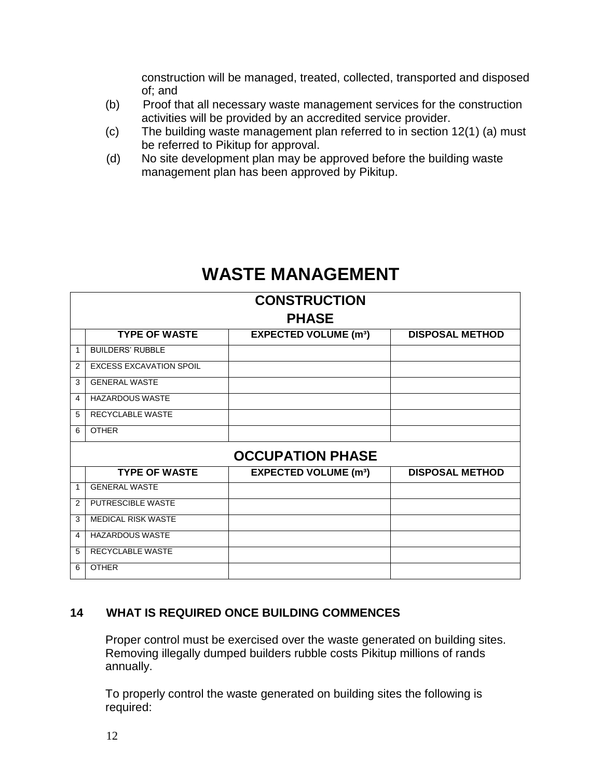construction will be managed, treated, collected, transported and disposed of; and

- (b) Proof that all necessary waste management services for the construction activities will be provided by an accredited service provider.
- (c) The building waste management plan referred to in section 12(1) (a) must be referred to Pikitup for approval.
- (d) No site development plan may be approved before the building waste management plan has been approved by Pikitup.

# **WASTE MANAGEMENT**

| <b>CONSTRUCTION</b>     |                                |                                        |                        |  |
|-------------------------|--------------------------------|----------------------------------------|------------------------|--|
| <b>PHASE</b>            |                                |                                        |                        |  |
|                         | <b>TYPE OF WASTE</b>           | <b>EXPECTED VOLUME (m<sup>3</sup>)</b> | <b>DISPOSAL METHOD</b> |  |
| 1                       | <b>BUILDERS' RUBBLE</b>        |                                        |                        |  |
| 2                       | <b>EXCESS EXCAVATION SPOIL</b> |                                        |                        |  |
| 3                       | <b>GENERAL WASTE</b>           |                                        |                        |  |
| 4                       | <b>HAZARDOUS WASTE</b>         |                                        |                        |  |
| 5                       | RECYCLABLE WASTE               |                                        |                        |  |
| 6                       | <b>OTHER</b>                   |                                        |                        |  |
| <b>OCCUPATION PHASE</b> |                                |                                        |                        |  |
|                         | <b>TYPE OF WASTE</b>           | <b>EXPECTED VOLUME (m<sup>3</sup>)</b> | <b>DISPOSAL METHOD</b> |  |
| 1                       | <b>GENERAL WASTE</b>           |                                        |                        |  |
| 2                       | PUTRESCIBLE WASTE              |                                        |                        |  |
| 3                       | <b>MEDICAL RISK WASTE</b>      |                                        |                        |  |
| 4                       | <b>HAZARDOUS WASTE</b>         |                                        |                        |  |
| 5                       | RECYCLABLE WASTE               |                                        |                        |  |
| 6                       | <b>OTHER</b>                   |                                        |                        |  |

# **14 WHAT IS REQUIRED ONCE BUILDING COMMENCES**

Proper control must be exercised over the waste generated on building sites. Removing illegally dumped builders rubble costs Pikitup millions of rands annually.

To properly control the waste generated on building sites the following is required: